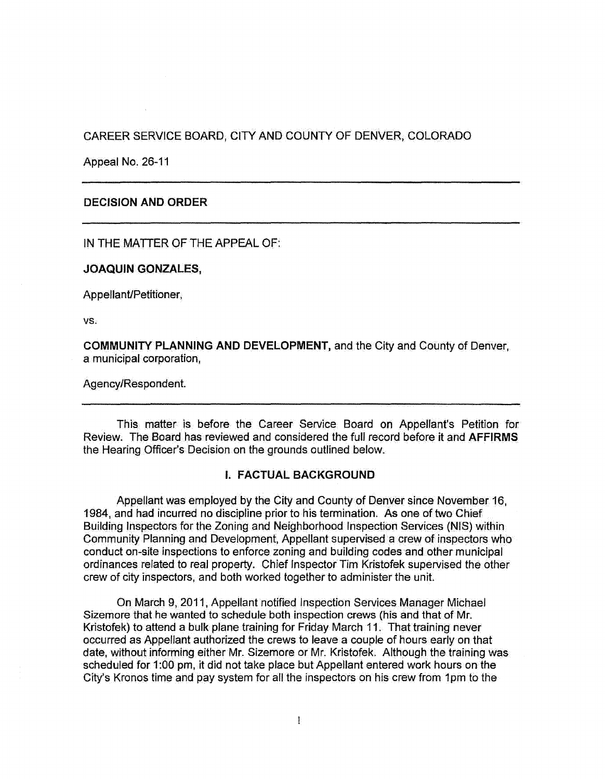# CAREER SERVICE BOARD, CITY AND COUNTY OF DENVER, COLORADO

Appeal No. 26-11

# **DECISION AND ORDER**

IN THE MATTER OF THE APPEAL OF:

**JOAQUIN GONZALES,** 

Appellant/Petitioner,

vs.

**COMMUNITY PLANNING AND DEVELOPMENT,** and the City and County of Denver, a municipal corporation,

Agency/Respondent.

This matter is before the Career Service Board on Appellant's Petition for Review. The Board has reviewed and considered the full record before it and **AFFIRMS**  the Hearing Officer's Decision on the grounds outlined below.

## **I. FACTUAL BACKGROUND**

Appellant was employed by the City and County of Denver since November 16, 1984, and had incurred no discipline prior to his termination. As one of two Chief Building Inspectors for the Zoning and Neighborhood Inspection Services (NIS) within Community Planning and Development, Appellant supervised a crew of inspectors who conduct on-site inspections to enforce zoning and building codes and other municipal ordinances related to real property. Chief Inspector Tim Kristofek supervised the other crew of city inspectors, and both worked together to administer the unit.

On March 9, 2011, Appellant notified Inspection Services Manager Michael Sizemore that he wanted to schedule both inspection crews (his and that of Mr. Kristofek) to attend a bulk plane training for Friday March 11. That training never occurred as Appellant authorized the crews to leave a couple of hours early on that date, without informing either Mr. Sizemore or Mr. Kristofek. Although the training was scheduled for 1:00 pm, it did not take place but Appellant entered work hours on the City's Kronos time and pay system for all the inspectors on his crew from 1pm to the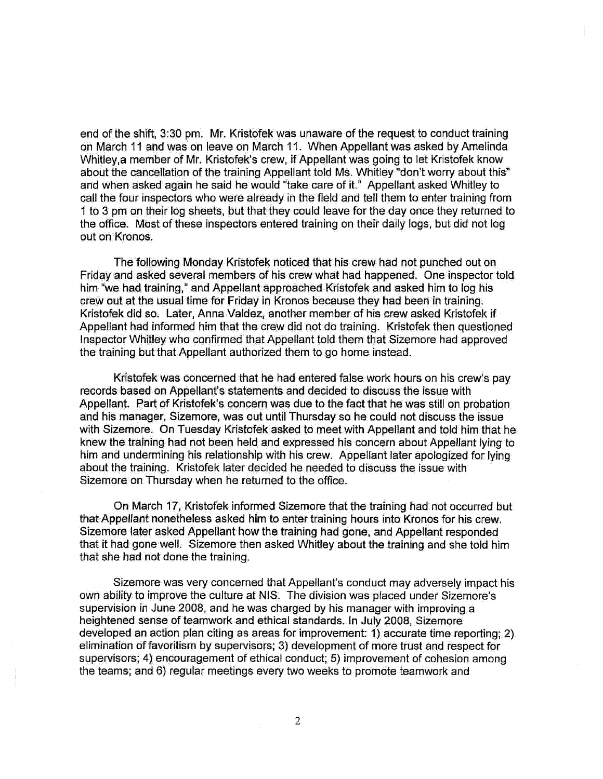end of the shift, 3:30 pm. Mr. Kristofek was unaware of the request to conduct training on March 11 and was on leave on March 11. When Appellant was asked by Amelinda Whitley.a member of Mr. Kristofek's crew, if Appellant was going to let Kristofek know about the cancellation of the training Appellant told Ms. Whitley "don't worry about this" and when asked again he said he would "take care of it." Appellant asked Whitley to call the four inspectors who were already in the field and tell them to enter training from 1 to 3 pm on their log sheets, but that they could leave for the day once they returned to the office. Most of these inspectors entered training on their daily logs, but did not log out on Kronos.

The following Monday Kristofek noticed that his crew had not punched out on Friday and asked several members of his crew what had happened. One inspector told him "we had training," and Appellant approached Kristofek and asked him to log his crew out at the usual time for Friday in Kronos because they had been in training. Kristofek did so. Later, Anna Valdez, another member of his crew asked Kristofek if Appellant had informed him that the crew did not do training. Kristofek then questioned Inspector Whitley who confirmed that Appellant told them that Sizemore had approved the training but that Appellant authorized them to go home instead.

Kristofek was concerned that he had entered false work hours on his crew's pay records based on Appellant's statements and decided to discuss the issue with Appellant. Part of Kristofek's concern was due to the fact that he was still on probation and his manager, Sizemore, was out until Thursday so he could not discuss the issue with Sizemore. On Tuesday Kristofek asked to meet with Appellant and told him that he knew the training had not been held and expressed his concern about Appellant lying to him and undermining his relationship with his crew. Appellant later apologized for lying about the training. Kristofek later decided he needed to discuss the issue wrth Sizemore on Thursday when he returned to the office.

On March 17, Kristofek informed Sizemore that the training had not occurred but that Appellant nonetheless asked him to enter training hours into Kronos for his crew. Sizemore later asked Appellant how the training had gone, and Appellant responded that it had gone well. Sizemore then asked Whitley about the training and she told him that she had not done the training.

Sizemore was very concerned that Appellant's conduct may adversely impact his own ability to improve the culture at NIS. The division was placed under Sizemore's supervision in June 2008, and he was charged by his manager with improving a heightened sense of teamwork and ethical standards. In July 2008, Sizemore developed an action plan citing as areas for improvement: 1) accurate time reporting; 2) elimination of favoritism by supervisors; 3) development of more trust and respect for supervisors; 4) encouragement of ethical conduct; 5) improvement of cohesion among the teams; and 6} regular meetings every two weeks to promote teamwork and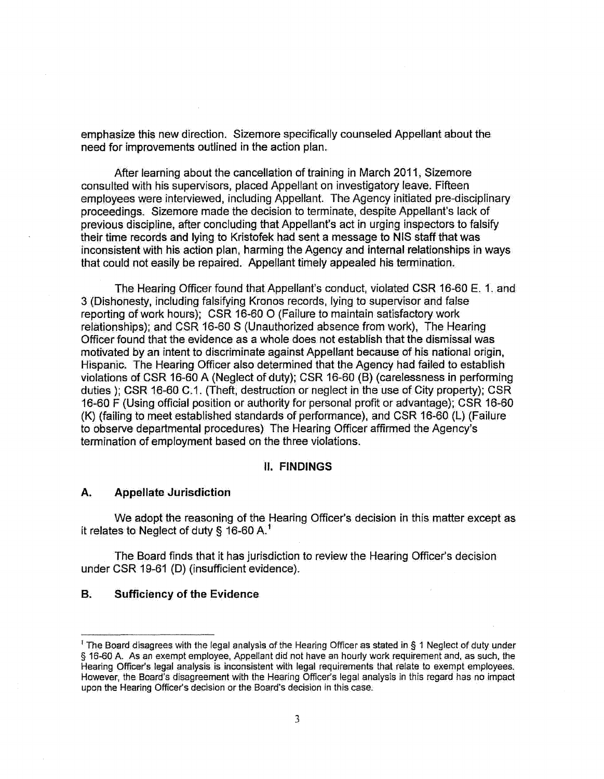emphasize this new direction. Sizemore specifically counseled Appellant about the need for improvements outlined in the action plan.

After learning about the cancellation of training in March 2011, Sizemore consulted with his supervisors, placed Appellant on investigatory leave. Fifteen employees were interviewed, including Appellant. The Agency initiated pre-disciplinary proceedings. Sizemore made the decision to terminate, despite Appellant's lack of previous discipline, after concluding that Appellant's act in urging inspectors to falsify their time records and lying to Kristofek had sent a message to NIS staff that was inconsistent with his action plan, harming the Agency and internal relationships in ways that could not easily be repaired. Appellant timely appealed his termination.

The Hearing Officer found that Appellant's conduct, violated CSR 16-60 E, 1, and 3 {Dishonesty, including falsifying Kronos records, lying to supervisor and false reporting of work hours); CSR 16-60 0 (Failure to maintain satisfactory work relationships); and CSR 16-60 S (Unauthorized absence from work}, The Hearing Officer found that the evidence as a whole does not establish that the dismissal was motivated by an intent to discriminate against Appellant because of his national origin, Hispanic. The Hearing Officer also determined that the Agency had failed to establish violations of CSR 16-60 A (Neglect of duly); CSR 16-60 (B) (carelessness in performing duties); CSR 16-60 C.1. (Theft, destruction or neglect in the use of City property); CSR 16-60 F (Using official position or authority for personal profit or advantage); CSR 16-60 (K) (failing to meet established standards of performance), and CSR 16-60 (L) {Failure to observe departmental procedures) The Hearing Officer affirmed the Agency's termination of employment based on the three violations.

# II. **FINDINGS**

#### **A. Appellate Jurisdiction**

We adopt the reasoning of the Hearing Officer's decision in this matter except as it relates to Neglect of duty§ 16-60 A.<sup>1</sup>

The Board finds that it has jurisdiction to review the Hearing Officer's decision under CSR 19-61 {D) (insufficient evidence}.

### **B. Sufficiency of the Evidence**

<sup>1</sup> The Board disagrees with the legal analysis of the Hearing Officer as stated in § 1 Neglect of duty under § 16-60 A. As an exempt employee, Appellant did not have an hourly work requirement and, as such, the Hearing Officer's legal analysis is inconsistent with legal requirements that relate to exempt employees. However, the Board's disagreement with the Hearing Officer's legal analysis in this regard has no impact upon the Hearing Officer's decision or the Board's decision in this case.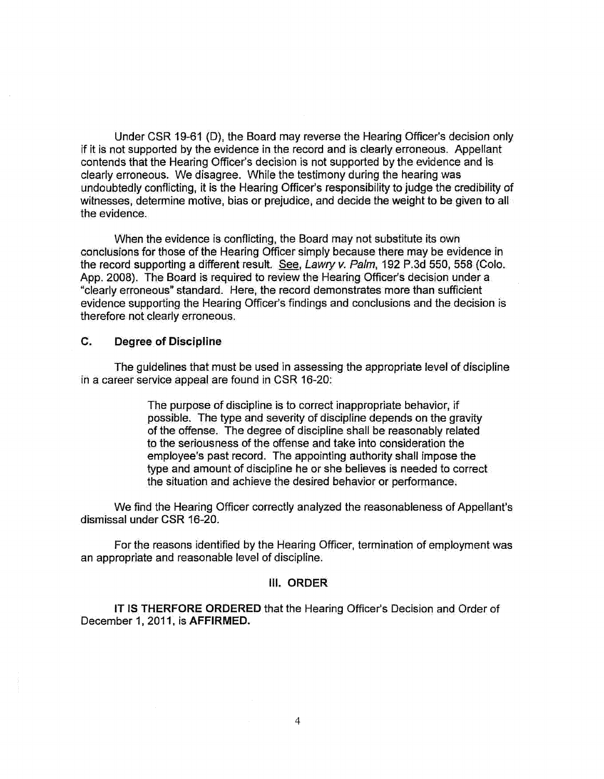Under CSR 19-61 (D), the Board may reverse the Hearing Officer's decision only if it is not supported by the evidence in the record and is clearly erroneous. Appellant contends that the Hearing Officer's decision is not supported by the evidence and is clearly erroneous. We disagree. While the testimony during the hearing was undoubtedly conflicting, it is the Hearing Officer's responsibility to judge the credibility of witnesses, determine motive, bias or prejudice, and decide the weight to be given to all the evidence.

When the evidence is conflicting, the Board may not substitute its own conclusions for those of the Hearing Officer simply because there may be evidence in the record supporting a different result. See, Lawry v. Palm, 192 P.3d 550, 558 (Colo. App. 2008}. The Board is required to review the Hearing Officer's decision under a "clearly erroneous" standard. Here, the record demonstrates more than sufficient evidence supporting the Hearing Officer's findings and conclusions and the decision is therefore not clearly erroneous.

## **C. Degree of Discipline**

The guidelines that must be used in assessing the appropriate level of discipline in a career service appeal are found in CSR 16-20:

> The purpose of discipline is to correct inappropriate behavior, if possible. The type and severity of discipline depends on the gravity of the offense. The degree of discipline shall be reasonably related to the seriousness of the offense and take into consideration the employee's past record. The appointing authority shall impose the type and amount of discipline he or she believes is needed ta correct the situation and achieve the desired behavior or performance.

We find the Hearing Officer correctly analyzed the reasonableness of Appellant's dismissal under CSR 16-20.

For the reasons identified by the Hearing Officer, termination of employment was an appropriate and reasonable level of discipline.

### Ill. **ORDER**

IT **IS THERFORE ORDERED** that the Hearing Officer's Decision and Order of December 1, 2011, is **AFFIRMED.**